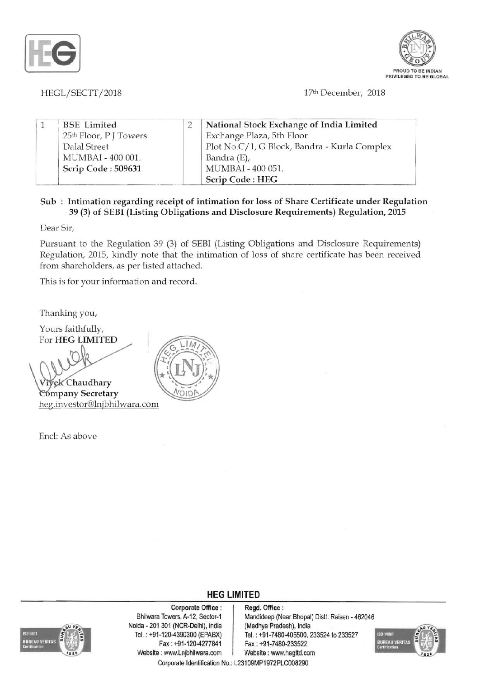



HEGL/SECTT/2018 17th December, 2018

|  | <b>BSE</b> Limited                 | National Stock Exchange of India Limited     |
|--|------------------------------------|----------------------------------------------|
|  | 25 <sup>th</sup> Floor, P J Towers | Exchange Plaza, 5th Floor                    |
|  | Dalal Street                       | Plot No.C/1, G Block, Bandra - Kurla Complex |
|  | MUMBAI - 400 001.                  | Bandra (E),                                  |
|  | Scrip Code: 509631                 | MUMBAI - 400 051.                            |
|  |                                    | Scrip Code: HEG                              |

## Sub: Intimation regarding receipt of intimation for loss of Share Certificate under Regulation 39 (3) of SEBI (Listing Obligations and Disclosure Requirements) Regulation, 2015

Dear Sir,

Pursuant to the Regulation 39 (3) of SEBI (Listing Obligations and Disclosure Requirements) Regulation, 201S, kindly note that the intimation of loss of share certificate has been received from shareholders, as per listed attached.

This is for your information and record.

Thanking you,

Yours faithfully, For HEG LIMITED

Chaudhary **Company Secretary** heg.investor@mjbhilwara.com

Enel: As above



## **HEG LIMITED**



Corporate Office : | Regd. Office : Noida 201 301 (NCR-Delhi), India (Madhya Pradesh), India Fax: +91-120-4277841 Fax : +91-7480-233522 Website : www.Lnjbhilwara.com | Website : www.hegltd.com

Bhilwara Towers, A-12, Sector-1 Mandideep (Near Bhopal) Distt. Raisen - 462046 Tel. : +91-120-4390300 (EPABX) Tel. : +91-7480-405500,233524 to 233527



Corporate Identification No.: L23109MP1972PLC008290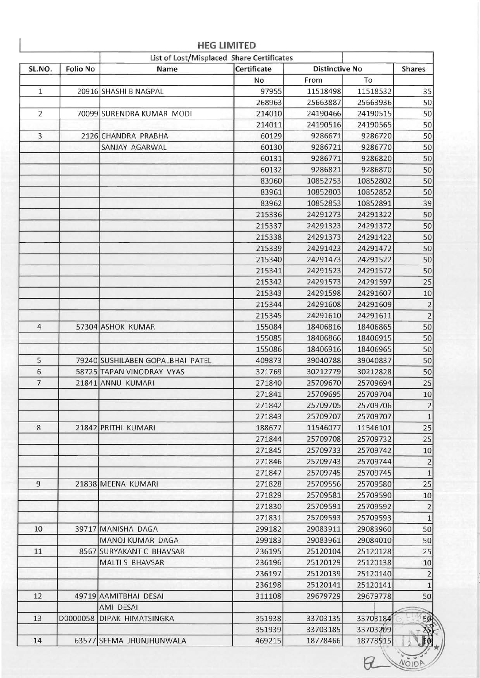|                |                 | List of Lost/Misplaced Share Certificates |             |                       |          |                |
|----------------|-----------------|-------------------------------------------|-------------|-----------------------|----------|----------------|
| SL.NO.         | <b>Folio No</b> | Name                                      | Certificate | <b>Distinctive No</b> |          | <b>Shares</b>  |
|                |                 |                                           | No          | From                  | To       |                |
| $\mathbf{1}$   |                 | 20916 SHASHI B NAGPAL                     | 97955       | 11518498              | 11518532 | 35             |
|                |                 |                                           | 268963      | 25663887              | 25663936 | 50             |
| $\overline{2}$ |                 | 70099 SURENDRA KUMAR MODI                 | 214010      | 24190466              | 24190515 | 50             |
|                |                 |                                           | 214011      | 24190516              | 24190565 | 50             |
| $\overline{3}$ |                 | 2126 CHANDRA PRABHA                       | 60129       | 9286671               | 9286720  | 50             |
|                |                 | SANJAY AGARWAL                            | 60130       | 9286721               | 9286770  | 50             |
|                |                 |                                           | 60131       | 9286771               | 9286820  | 50             |
|                |                 |                                           | 60132       | 9286821               | 9286870  | 50             |
|                |                 |                                           | 83960       | 10852753              | 10852802 | 50             |
|                |                 |                                           | 83961       | 10852803              | 10852852 | 50             |
|                |                 |                                           | 83962       | 10852853              | 10852891 | 39             |
|                |                 |                                           | 215336      | 24291273              | 24291322 | 50             |
|                |                 |                                           | 215337      | 24291323              | 24291372 | 50             |
|                |                 |                                           | 215338      | 24291373              | 24291422 | 50             |
|                |                 |                                           | 215339      | 24291423              | 24291472 | 50             |
|                |                 |                                           | 215340      | 24291473              | 24291522 | 50             |
|                |                 |                                           | 215341      | 24291523              | 24291572 | 50             |
|                |                 |                                           | 215342      | 24291573              | 24291597 | 25             |
|                |                 |                                           | 215343      | 24291598              | 24291607 | 10             |
|                |                 |                                           | 215344      | 24291608              | 24291609 | $\overline{2}$ |
|                |                 |                                           | 215345      | 24291610              | 24291611 | $\overline{2}$ |
| 4              |                 | 57304 ASHOK KUMAR                         | 155084      | 18406816              | 18406865 | 50             |
|                |                 |                                           | 155085      | 18406866              | 18406915 | 50             |
|                |                 |                                           | 155086      | 18406916              | 18406965 | 50             |
| 5              |                 | 79240 SUSHILABEN GOPALBHAI PATEL          | 409873      | 39040788              | 39040837 | 50             |
| 6              |                 | 58725 TAPAN VINODRAY VYAS                 | 321769      | 30212779              | 30212828 | 50             |
| 7              |                 |                                           |             |                       |          |                |
|                |                 | 21841 ANNU KUMARI                         | 271840      | 25709670              | 25709694 | 25             |
|                |                 |                                           | 271841      | 25709695              | 25709704 | 10             |
|                |                 |                                           | 271842      | 25709705              | 25709706 | $\overline{a}$ |
|                |                 |                                           | 271843      | 25709707              | 25709707 | $\mathbf{1}$   |
| 8              |                 | 21842 PRITHI KUMARI                       | 188677      | 11546077              | 11546101 | 25             |
|                |                 |                                           | 271844      | 25709708              | 25709732 | 25             |
|                |                 |                                           | 271845      | 25709733              | 25709742 | 10             |
|                |                 |                                           | 271846      | 25709743              | 25709744 | $\overline{2}$ |
|                |                 |                                           | 271847      | 25709745              | 25709745 | $\,1\,$        |
| $\overline{9}$ |                 | 21838 MEENA KUMARI                        | 271828      | 25709556              | 25709580 | 25             |
|                |                 |                                           | 271829      | 25709581              | 25709590 | 10             |
|                |                 |                                           | 271830      | 25709591              | 25709592 | $\overline{2}$ |
|                |                 |                                           | 271831      | 25709593              | 25709593 | $\mathbf{1}$   |
| 10             |                 | 39717 MANISHA DAGA                        | 299182      | 29083911              | 29083960 | 50             |
|                |                 | MANOJ KUMAR DAGA                          | 299183      | 29083961              | 29084010 | 50             |
| 11             |                 | 8567 SURYAKANT C BHAVSAR                  | 236195      | 25120104              | 25120128 | 25             |
|                |                 | <b>MALTI S BHAVSAR</b>                    | 236196      | 25120129              | 25120138 | 10             |
|                |                 |                                           | 236197      | 25120139              | 25120140 | $\overline{2}$ |
|                |                 |                                           | 236198      | 25120141              | 25120141 | $\mathbf{1}$   |
| 12             |                 | 49719 AAMITBHAI DESAI                     | 311108      | 29679729              | 29679778 | 50             |
|                |                 | AMI DESAI                                 |             |                       |          |                |
| 13             | D0000058        | <b>DIPAK HIMATSINGKA</b>                  | 351938      | 33703135              | 33703184 | 50             |
|                |                 |                                           | 351939      | 33703185              | 33703209 |                |
| 14             |                 | 63577 SEEMA JHUNJHUNWALA                  | 469215      | 18778466              | 18778515 |                |